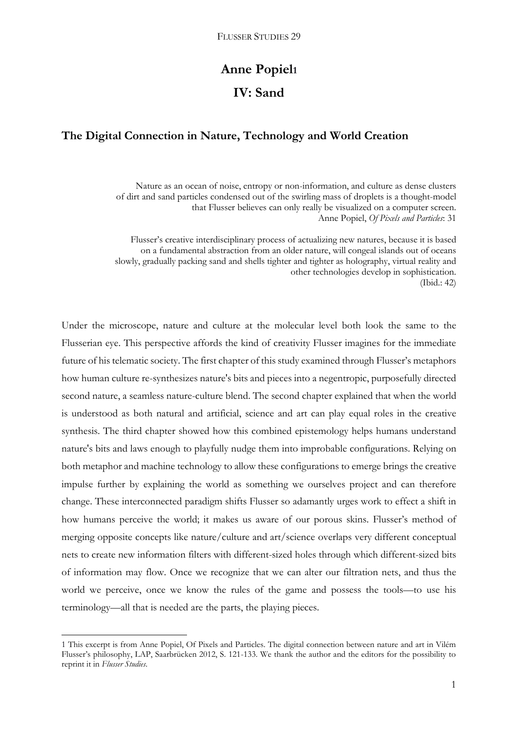# **Anne Popiel<sup>1</sup> IV: Sand**

# **The Digital Connection in Nature, Technology and World Creation**

Nature as an ocean of noise, entropy or non-information, and culture as dense clusters of dirt and sand particles condensed out of the swirling mass of droplets is a thought-model that Flusser believes can only really be visualized on a computer screen. Anne Popiel, *Of Pixels and Particles*: 31

Flusser's creative interdisciplinary process of actualizing new natures, because it is based on a fundamental abstraction from an older nature, will congeal islands out of oceans slowly, gradually packing sand and shells tighter and tighter as holography, virtual reality and other technologies develop in sophistication. (Ibid.: 42)

Under the microscope, nature and culture at the molecular level both look the same to the Flusserian eye. This perspective affords the kind of creativity Flusser imagines for the immediate future of his telematic society. The first chapter of this study examined through Flusser's metaphors how human culture re-synthesizes nature's bits and pieces into a negentropic, purposefully directed second nature, a seamless nature-culture blend. The second chapter explained that when the world is understood as both natural and artificial, science and art can play equal roles in the creative synthesis. The third chapter showed how this combined epistemology helps humans understand nature's bits and laws enough to playfully nudge them into improbable configurations. Relying on both metaphor and machine technology to allow these configurations to emerge brings the creative impulse further by explaining the world as something we ourselves project and can therefore change. These interconnected paradigm shifts Flusser so adamantly urges work to effect a shift in how humans perceive the world; it makes us aware of our porous skins. Flusser's method of merging opposite concepts like nature/culture and art/science overlaps very different conceptual nets to create new information filters with different-sized holes through which different-sized bits of information may flow. Once we recognize that we can alter our filtration nets, and thus the world we perceive, once we know the rules of the game and possess the tools—to use his terminology—all that is needed are the parts, the playing pieces.

1

<sup>1</sup> This excerpt is from Anne Popiel, Of Pixels and Particles. The digital connection between nature and art in Vilém Flusser's philosophy, LAP, Saarbrücken 2012, S. 121-133. We thank the author and the editors for the possibility to reprint it in *Flusser Studies*.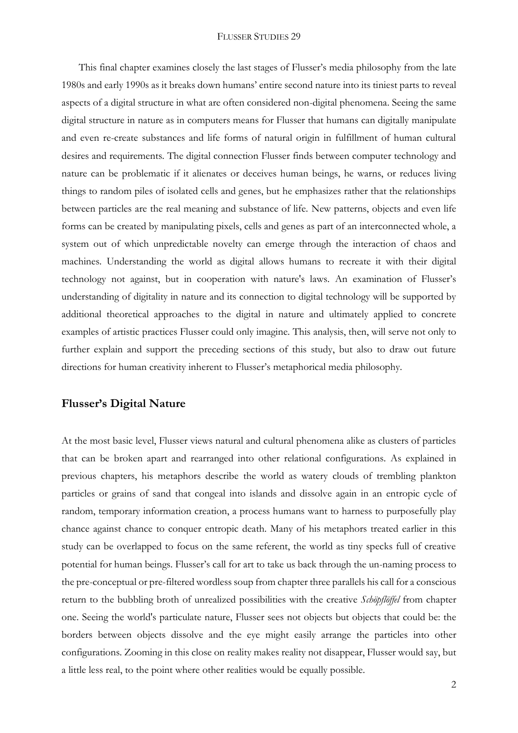This final chapter examines closely the last stages of Flusser's media philosophy from the late 1980s and early 1990s as it breaks down humans' entire second nature into its tiniest parts to reveal aspects of a digital structure in what are often considered non-digital phenomena. Seeing the same digital structure in nature as in computers means for Flusser that humans can digitally manipulate and even re-create substances and life forms of natural origin in fulfillment of human cultural desires and requirements. The digital connection Flusser finds between computer technology and nature can be problematic if it alienates or deceives human beings, he warns, or reduces living things to random piles of isolated cells and genes, but he emphasizes rather that the relationships between particles are the real meaning and substance of life. New patterns, objects and even life forms can be created by manipulating pixels, cells and genes as part of an interconnected whole, a system out of which unpredictable novelty can emerge through the interaction of chaos and machines. Understanding the world as digital allows humans to recreate it with their digital technology not against, but in cooperation with nature's laws. An examination of Flusser's understanding of digitality in nature and its connection to digital technology will be supported by additional theoretical approaches to the digital in nature and ultimately applied to concrete examples of artistic practices Flusser could only imagine. This analysis, then, will serve not only to further explain and support the preceding sections of this study, but also to draw out future directions for human creativity inherent to Flusser's metaphorical media philosophy.

### **Flusser's Digital Nature**

At the most basic level, Flusser views natural and cultural phenomena alike as clusters of particles that can be broken apart and rearranged into other relational configurations. As explained in previous chapters, his metaphors describe the world as watery clouds of trembling plankton particles or grains of sand that congeal into islands and dissolve again in an entropic cycle of random, temporary information creation, a process humans want to harness to purposefully play chance against chance to conquer entropic death. Many of his metaphors treated earlier in this study can be overlapped to focus on the same referent, the world as tiny specks full of creative potential for human beings. Flusser's call for art to take us back through the un-naming process to the pre-conceptual or pre-filtered wordless soup from chapter three parallels his call for a conscious return to the bubbling broth of unrealized possibilities with the creative *Schöpflöffel* from chapter one. Seeing the world's particulate nature, Flusser sees not objects but objects that could be: the borders between objects dissolve and the eye might easily arrange the particles into other configurations. Zooming in this close on reality makes reality not disappear, Flusser would say, but a little less real, to the point where other realities would be equally possible.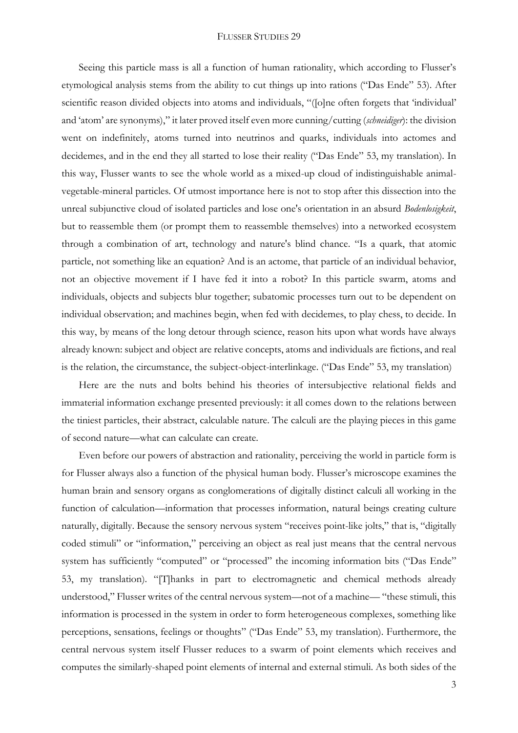Seeing this particle mass is all a function of human rationality, which according to Flusser's etymological analysis stems from the ability to cut things up into rations ("Das Ende" 53). After scientific reason divided objects into atoms and individuals, "([o]ne often forgets that 'individual' and 'atom' are synonyms)," it later proved itself even more cunning/cutting (*schneidiger*): the division went on indefinitely, atoms turned into neutrinos and quarks, individuals into actomes and decidemes, and in the end they all started to lose their reality ("Das Ende" 53, my translation). In this way, Flusser wants to see the whole world as a mixed-up cloud of indistinguishable animalvegetable-mineral particles. Of utmost importance here is not to stop after this dissection into the unreal subjunctive cloud of isolated particles and lose one's orientation in an absurd *Bodenlosigkeit*, but to reassemble them (or prompt them to reassemble themselves) into a networked ecosystem through a combination of art, technology and nature's blind chance. "Is a quark, that atomic particle, not something like an equation? And is an actome, that particle of an individual behavior, not an objective movement if I have fed it into a robot? In this particle swarm, atoms and individuals, objects and subjects blur together; subatomic processes turn out to be dependent on individual observation; and machines begin, when fed with decidemes, to play chess, to decide. In this way, by means of the long detour through science, reason hits upon what words have always already known: subject and object are relative concepts, atoms and individuals are fictions, and real is the relation, the circumstance, the subject-object-interlinkage. ("Das Ende" 53, my translation)

Here are the nuts and bolts behind his theories of intersubjective relational fields and immaterial information exchange presented previously: it all comes down to the relations between the tiniest particles, their abstract, calculable nature. The calculi are the playing pieces in this game of second nature—what can calculate can create.

Even before our powers of abstraction and rationality, perceiving the world in particle form is for Flusser always also a function of the physical human body. Flusser's microscope examines the human brain and sensory organs as conglomerations of digitally distinct calculi all working in the function of calculation—information that processes information, natural beings creating culture naturally, digitally. Because the sensory nervous system "receives point-like jolts," that is, "digitally coded stimuli" or "information," perceiving an object as real just means that the central nervous system has sufficiently "computed" or "processed" the incoming information bits ("Das Ende" 53, my translation). "[T]hanks in part to electromagnetic and chemical methods already understood," Flusser writes of the central nervous system—not of a machine— "these stimuli, this information is processed in the system in order to form heterogeneous complexes, something like perceptions, sensations, feelings or thoughts" ("Das Ende" 53, my translation). Furthermore, the central nervous system itself Flusser reduces to a swarm of point elements which receives and computes the similarly-shaped point elements of internal and external stimuli. As both sides of the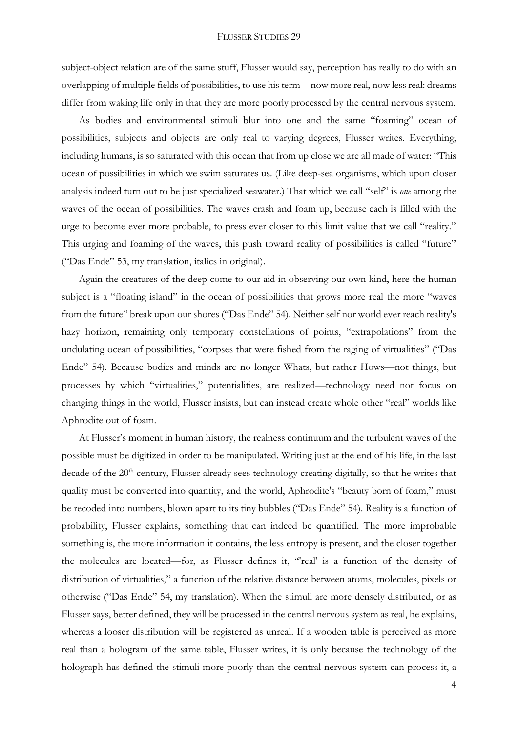subject-object relation are of the same stuff, Flusser would say, perception has really to do with an overlapping of multiple fields of possibilities, to use his term—now more real, now less real: dreams differ from waking life only in that they are more poorly processed by the central nervous system.

As bodies and environmental stimuli blur into one and the same "foaming" ocean of possibilities, subjects and objects are only real to varying degrees, Flusser writes. Everything, including humans, is so saturated with this ocean that from up close we are all made of water: "This ocean of possibilities in which we swim saturates us. (Like deep-sea organisms, which upon closer analysis indeed turn out to be just specialized seawater.) That which we call "self" is *one* among the waves of the ocean of possibilities. The waves crash and foam up, because each is filled with the urge to become ever more probable, to press ever closer to this limit value that we call "reality." This urging and foaming of the waves, this push toward reality of possibilities is called "future" ("Das Ende" 53, my translation, italics in original).

Again the creatures of the deep come to our aid in observing our own kind, here the human subject is a "floating island" in the ocean of possibilities that grows more real the more "waves from the future" break upon our shores ("Das Ende" 54). Neither self nor world ever reach reality's hazy horizon, remaining only temporary constellations of points, "extrapolations" from the undulating ocean of possibilities, "corpses that were fished from the raging of virtualities" ("Das Ende" 54). Because bodies and minds are no longer Whats, but rather Hows—not things, but processes by which "virtualities," potentialities, are realized—technology need not focus on changing things in the world, Flusser insists, but can instead create whole other "real" worlds like Aphrodite out of foam.

At Flusser's moment in human history, the realness continuum and the turbulent waves of the possible must be digitized in order to be manipulated. Writing just at the end of his life, in the last decade of the 20<sup>th</sup> century, Flusser already sees technology creating digitally, so that he writes that quality must be converted into quantity, and the world, Aphrodite's "beauty born of foam," must be recoded into numbers, blown apart to its tiny bubbles ("Das Ende" 54). Reality is a function of probability, Flusser explains, something that can indeed be quantified. The more improbable something is, the more information it contains, the less entropy is present, and the closer together the molecules are located—for, as Flusser defines it, "'real' is a function of the density of distribution of virtualities," a function of the relative distance between atoms, molecules, pixels or otherwise ("Das Ende" 54, my translation). When the stimuli are more densely distributed, or as Flusser says, better defined, they will be processed in the central nervous system as real, he explains, whereas a looser distribution will be registered as unreal. If a wooden table is perceived as more real than a hologram of the same table, Flusser writes, it is only because the technology of the holograph has defined the stimuli more poorly than the central nervous system can process it, a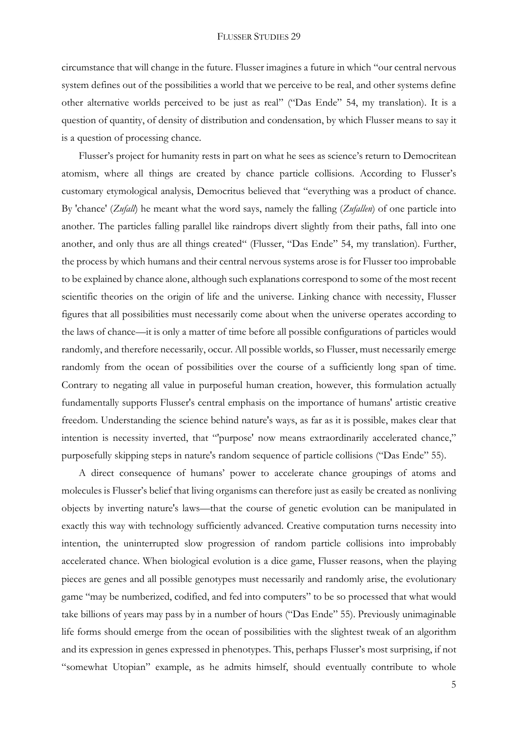circumstance that will change in the future. Flusser imagines a future in which "our central nervous system defines out of the possibilities a world that we perceive to be real, and other systems define other alternative worlds perceived to be just as real" ("Das Ende" 54, my translation). It is a question of quantity, of density of distribution and condensation, by which Flusser means to say it is a question of processing chance.

Flusser's project for humanity rests in part on what he sees as science's return to Democritean atomism, where all things are created by chance particle collisions. According to Flusser's customary etymological analysis, Democritus believed that "everything was a product of chance. By 'chance' (*Zufall*) he meant what the word says, namely the falling (*Zufallen*) of one particle into another. The particles falling parallel like raindrops divert slightly from their paths, fall into one another, and only thus are all things created" (Flusser, "Das Ende" 54, my translation). Further, the process by which humans and their central nervous systems arose is for Flusser too improbable to be explained by chance alone, although such explanations correspond to some of the most recent scientific theories on the origin of life and the universe. Linking chance with necessity, Flusser figures that all possibilities must necessarily come about when the universe operates according to the laws of chance—it is only a matter of time before all possible configurations of particles would randomly, and therefore necessarily, occur. All possible worlds, so Flusser, must necessarily emerge randomly from the ocean of possibilities over the course of a sufficiently long span of time. Contrary to negating all value in purposeful human creation, however, this formulation actually fundamentally supports Flusser's central emphasis on the importance of humans' artistic creative freedom. Understanding the science behind nature's ways, as far as it is possible, makes clear that intention is necessity inverted, that "'purpose' now means extraordinarily accelerated chance," purposefully skipping steps in nature's random sequence of particle collisions ("Das Ende" 55).

A direct consequence of humans' power to accelerate chance groupings of atoms and molecules is Flusser's belief that living organisms can therefore just as easily be created as nonliving objects by inverting nature's laws—that the course of genetic evolution can be manipulated in exactly this way with technology sufficiently advanced. Creative computation turns necessity into intention, the uninterrupted slow progression of random particle collisions into improbably accelerated chance. When biological evolution is a dice game, Flusser reasons, when the playing pieces are genes and all possible genotypes must necessarily and randomly arise, the evolutionary game "may be numberized, codified, and fed into computers" to be so processed that what would take billions of years may pass by in a number of hours ("Das Ende" 55). Previously unimaginable life forms should emerge from the ocean of possibilities with the slightest tweak of an algorithm and its expression in genes expressed in phenotypes. This, perhaps Flusser's most surprising, if not "somewhat Utopian" example, as he admits himself, should eventually contribute to whole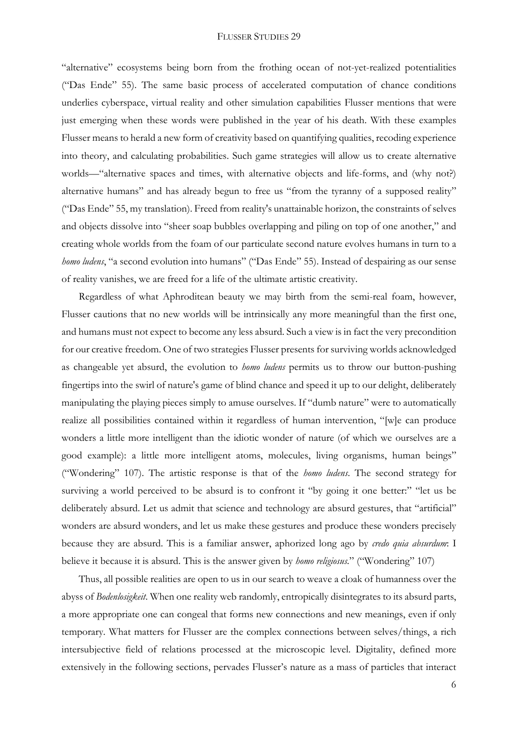"alternative" ecosystems being born from the frothing ocean of not-yet-realized potentialities ("Das Ende" 55). The same basic process of accelerated computation of chance conditions underlies cyberspace, virtual reality and other simulation capabilities Flusser mentions that were just emerging when these words were published in the year of his death. With these examples Flusser means to herald a new form of creativity based on quantifying qualities, recoding experience into theory, and calculating probabilities. Such game strategies will allow us to create alternative worlds—"alternative spaces and times, with alternative objects and life-forms, and (why not?) alternative humans" and has already begun to free us "from the tyranny of a supposed reality" ("Das Ende" 55, my translation). Freed from reality's unattainable horizon, the constraints of selves and objects dissolve into "sheer soap bubbles overlapping and piling on top of one another," and creating whole worlds from the foam of our particulate second nature evolves humans in turn to a *homo ludens*, "a second evolution into humans" ("Das Ende" 55). Instead of despairing as our sense of reality vanishes, we are freed for a life of the ultimate artistic creativity.

Regardless of what Aphroditean beauty we may birth from the semi-real foam, however, Flusser cautions that no new worlds will be intrinsically any more meaningful than the first one, and humans must not expect to become any less absurd. Such a view is in fact the very precondition for our creative freedom. One of two strategies Flusser presents for surviving worlds acknowledged as changeable yet absurd, the evolution to *homo ludens* permits us to throw our button-pushing fingertips into the swirl of nature's game of blind chance and speed it up to our delight, deliberately manipulating the playing pieces simply to amuse ourselves. If "dumb nature" were to automatically realize all possibilities contained within it regardless of human intervention, "[w]e can produce wonders a little more intelligent than the idiotic wonder of nature (of which we ourselves are a good example): a little more intelligent atoms, molecules, living organisms, human beings" ("Wondering" 107). The artistic response is that of the *homo ludens*. The second strategy for surviving a world perceived to be absurd is to confront it "by going it one better:" "let us be deliberately absurd. Let us admit that science and technology are absurd gestures, that "artificial" wonders are absurd wonders, and let us make these gestures and produce these wonders precisely because they are absurd. This is a familiar answer, aphorized long ago by *credo quia absurdum*: I believe it because it is absurd. This is the answer given by *homo religiosus.*" ("Wondering" 107)

Thus, all possible realities are open to us in our search to weave a cloak of humanness over the abyss of *Bodenlosigkeit*. When one reality web randomly, entropically disintegrates to its absurd parts, a more appropriate one can congeal that forms new connections and new meanings, even if only temporary. What matters for Flusser are the complex connections between selves/things, a rich intersubjective field of relations processed at the microscopic level. Digitality, defined more extensively in the following sections, pervades Flusser's nature as a mass of particles that interact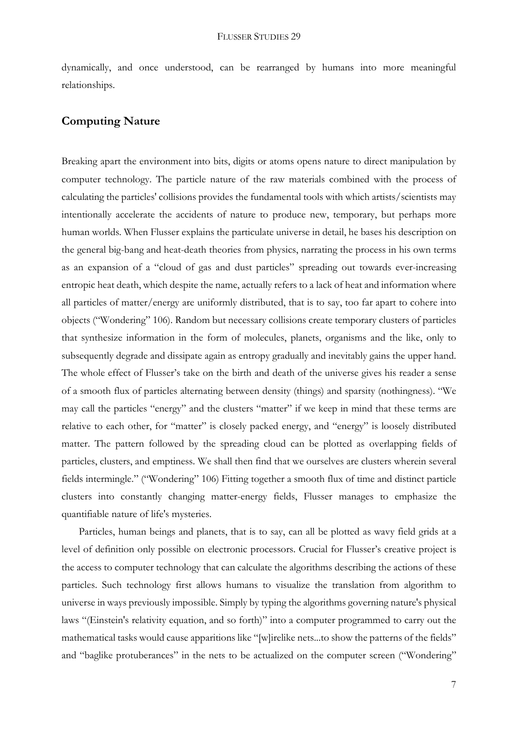dynamically, and once understood, can be rearranged by humans into more meaningful relationships.

## **Computing Nature**

Breaking apart the environment into bits, digits or atoms opens nature to direct manipulation by computer technology. The particle nature of the raw materials combined with the process of calculating the particles' collisions provides the fundamental tools with which artists/scientists may intentionally accelerate the accidents of nature to produce new, temporary, but perhaps more human worlds. When Flusser explains the particulate universe in detail, he bases his description on the general big-bang and heat-death theories from physics, narrating the process in his own terms as an expansion of a "cloud of gas and dust particles" spreading out towards ever-increasing entropic heat death, which despite the name, actually refers to a lack of heat and information where all particles of matter/energy are uniformly distributed, that is to say, too far apart to cohere into objects ("Wondering" 106). Random but necessary collisions create temporary clusters of particles that synthesize information in the form of molecules, planets, organisms and the like, only to subsequently degrade and dissipate again as entropy gradually and inevitably gains the upper hand. The whole effect of Flusser's take on the birth and death of the universe gives his reader a sense of a smooth flux of particles alternating between density (things) and sparsity (nothingness). "We may call the particles "energy" and the clusters "matter" if we keep in mind that these terms are relative to each other, for "matter" is closely packed energy, and "energy" is loosely distributed matter. The pattern followed by the spreading cloud can be plotted as overlapping fields of particles, clusters, and emptiness. We shall then find that we ourselves are clusters wherein several fields intermingle." ("Wondering" 106) Fitting together a smooth flux of time and distinct particle clusters into constantly changing matter-energy fields, Flusser manages to emphasize the quantifiable nature of life's mysteries.

Particles, human beings and planets, that is to say, can all be plotted as wavy field grids at a level of definition only possible on electronic processors. Crucial for Flusser's creative project is the access to computer technology that can calculate the algorithms describing the actions of these particles. Such technology first allows humans to visualize the translation from algorithm to universe in ways previously impossible. Simply by typing the algorithms governing nature's physical laws "(Einstein's relativity equation, and so forth)" into a computer programmed to carry out the mathematical tasks would cause apparitions like "[w]irelike nets...to show the patterns of the fields" and "baglike protuberances" in the nets to be actualized on the computer screen ("Wondering"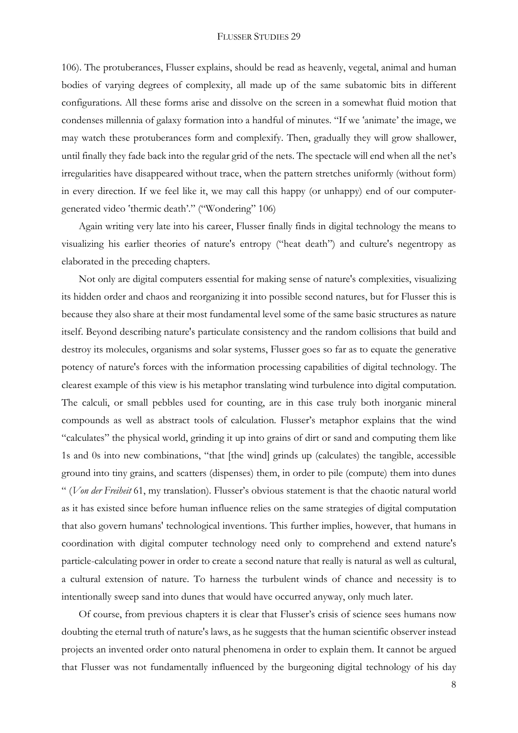106). The protuberances, Flusser explains, should be read as heavenly, vegetal, animal and human bodies of varying degrees of complexity, all made up of the same subatomic bits in different configurations. All these forms arise and dissolve on the screen in a somewhat fluid motion that condenses millennia of galaxy formation into a handful of minutes. "If we 'animate' the image, we may watch these protuberances form and complexify. Then, gradually they will grow shallower, until finally they fade back into the regular grid of the nets. The spectacle will end when all the net's irregularities have disappeared without trace, when the pattern stretches uniformly (without form) in every direction. If we feel like it, we may call this happy (or unhappy) end of our computergenerated video 'thermic death'." ("Wondering" 106)

Again writing very late into his career, Flusser finally finds in digital technology the means to visualizing his earlier theories of nature's entropy ("heat death") and culture's negentropy as elaborated in the preceding chapters.

Not only are digital computers essential for making sense of nature's complexities, visualizing its hidden order and chaos and reorganizing it into possible second natures, but for Flusser this is because they also share at their most fundamental level some of the same basic structures as nature itself. Beyond describing nature's particulate consistency and the random collisions that build and destroy its molecules, organisms and solar systems, Flusser goes so far as to equate the generative potency of nature's forces with the information processing capabilities of digital technology. The clearest example of this view is his metaphor translating wind turbulence into digital computation. The calculi, or small pebbles used for counting, are in this case truly both inorganic mineral compounds as well as abstract tools of calculation. Flusser's metaphor explains that the wind "calculates" the physical world, grinding it up into grains of dirt or sand and computing them like 1s and 0s into new combinations, "that [the wind] grinds up (calculates) the tangible, accessible ground into tiny grains, and scatters (dispenses) them, in order to pile (compute) them into dunes " (*Von der Freiheit* 61, my translation). Flusser's obvious statement is that the chaotic natural world as it has existed since before human influence relies on the same strategies of digital computation that also govern humans' technological inventions. This further implies, however, that humans in coordination with digital computer technology need only to comprehend and extend nature's particle-calculating power in order to create a second nature that really is natural as well as cultural, a cultural extension of nature. To harness the turbulent winds of chance and necessity is to intentionally sweep sand into dunes that would have occurred anyway, only much later.

Of course, from previous chapters it is clear that Flusser's crisis of science sees humans now doubting the eternal truth of nature's laws, as he suggests that the human scientific observer instead projects an invented order onto natural phenomena in order to explain them. It cannot be argued that Flusser was not fundamentally influenced by the burgeoning digital technology of his day

8